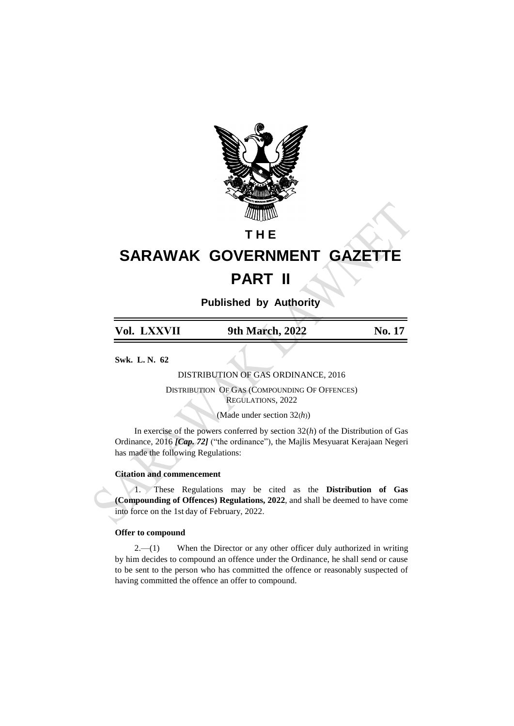

# **T H E**

# **SARAWAK GOVERNMENT GAZETTE PART II**

**Published by Authority**

|  | Vol. LXXVII | 9th March, 2022 | No. 17 |
|--|-------------|-----------------|--------|
|--|-------------|-----------------|--------|

**Swk. L. N. 62**

DISTRIBUTION OF GAS ORDINANCE, 2016

DISTRIBUTION OF GAS (COMPOUNDING OF OFFENCES) REGULATIONS, 2022

(Made under section 32(*h*))

In exercise of the powers conferred by section 32(*h*) of the Distribution of Gas Ordinance, 2016 *[Cap. 72]* ("the ordinance"), the Majlis Mesyuarat Kerajaan Negeri has made the following Regulations:

## **Citation and commencement**

1. These Regulations may be cited as the **Distribution of Gas (Compounding of Offences) Regulations, 2022**, and shall be deemed to have come into force on the 1st day of February, 2022.

#### **Offer to compound**

 $2.-(1)$  When the Director or any other officer duly authorized in writing by him decides to compound an offence under the Ordinance, he shall send or cause to be sent to the person who has committed the offence or reasonably suspected of having committed the offence an offer to compound.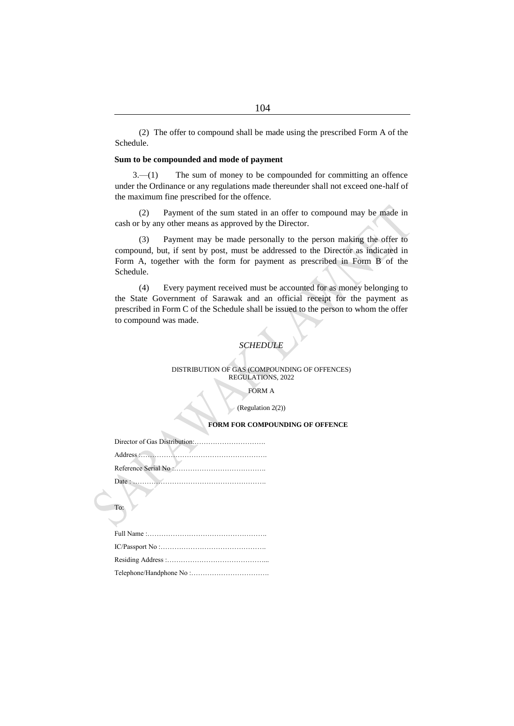(2) The offer to compound shall be made using the prescribed Form A of the Schedule.

#### **Sum to be compounded and mode of payment**

3.—(1) The sum of money to be compounded for committing an offence under the Ordinance or any regulations made thereunder shall not exceed one-half of the maximum fine prescribed for the offence.

(2) Payment of the sum stated in an offer to compound may be made in cash or by any other means as approved by the Director.

(3) Payment may be made personally to the person making the offer to compound, but, if sent by post, must be addressed to the Director as indicated in Form A, together with the form for payment as prescribed in Form B of the Schedule.

(4) Every payment received must be accounted for as money belonging to the State Government of Sarawak and an official receipt for the payment as prescribed in Form C of the Schedule shall be issued to the person to whom the offer to compound was made.

# *SCHEDULE*

#### DISTRIBUTION OF GAS (COMPOUNDING OF OFFENCES) REGULATIONS, 2022

#### FORM A

#### (Regulation 2(2))

#### **FORM FOR COMPOUNDING OF OFFENCE**

| Date: |
|-------|

To: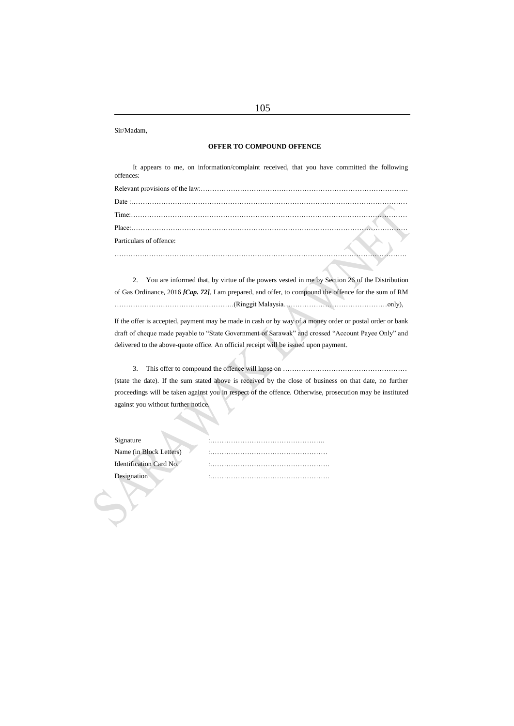Sir/Madam,

#### **OFFER TO COMPOUND OFFENCE**

It appears to me, on information/complaint received, that you have committed the following offences:

| Particulars of offence: |  |
|-------------------------|--|
|                         |  |

2. You are informed that, by virtue of the powers vested in me by Section 26 of the Distribution of Gas Ordinance, 2016 *[Cap. 72]*, I am prepared, and offer, to compound the offence for the sum of RM …………………………………………….(Ringgit Malaysia………………………………………only),

If the offer is accepted, payment may be made in cash or by way of a money order or postal order or bank draft of cheque made payable to "State Government of Sarawak" and crossed "Account Payee Only" and delivered to the above-quote office. An official receipt will be issued upon payment.

3. This offer to compound the offence will lapse on ……………………………………………… (state the date). If the sum stated above is received by the close of business on that date, no further proceedings will be taken against you in respect of the offence. Otherwise, prosecution may be instituted against you without further notice.

| Signature               | $\sim$ |
|-------------------------|--------|
| Name (in Block Letters) | $\sim$ |
| Identification Card No. | $\sim$ |
| Designation             | $\sim$ |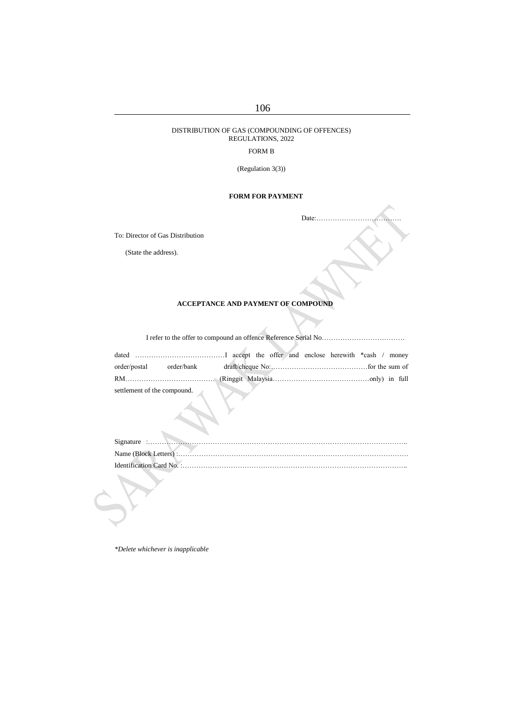# 106

#### DISTRIBUTION OF GAS (COMPOUNDING OF OFFENCES) REGULATIONS, 2022

### FORM B

(Regulation 3(3))

# **FORM FOR PAYMENT**

Date:……………………………….

To: Director of Gas Distribution

(State the address).

# **ACCEPTANCE AND PAYMENT OF COMPOUND**

|--|--|--|

|  | settlement of the compound. |  |  |  |  |
|--|-----------------------------|--|--|--|--|

A

*\*Delete whichever is inapplicable*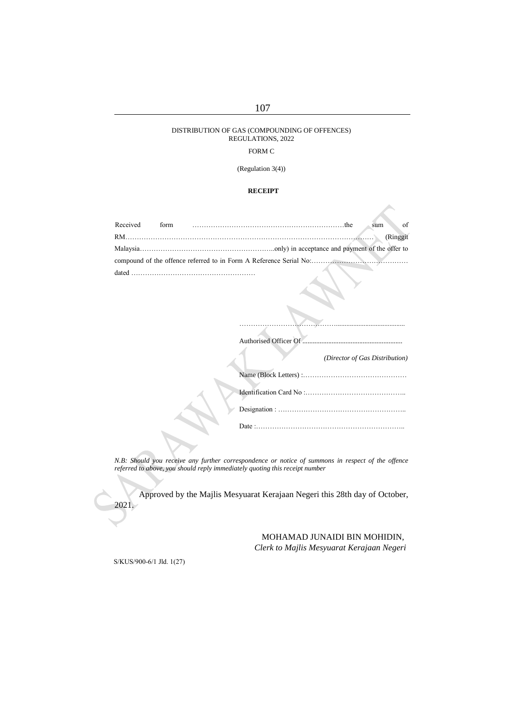#### DISTRIBUTION OF GAS (COMPOUNDING OF OFFENCES) REGULATIONS, 2022

#### FORM C

(Regulation 3(4))

#### **RECEIPT**

| Received | form | $\circ$ of<br>sum |
|----------|------|-------------------|
|          |      | (Ringgit)         |
|          |      |                   |
|          |      |                   |
| dated    |      |                   |

Authorised Officer Of .......

*(Director of Gas Distribution)*

……………………………………........................................

*N.B: Should you receive any further correspondence or notice of summons in respect of the offence referred to above, you should reply immediately quoting this receipt number*

Approved by the Majlis Mesyuarat Kerajaan Negeri this 28th day of October, 2021.

> MOHAMAD JUNAIDI BIN MOHIDIN, *Clerk to Majlis Mesyuarat Kerajaan Negeri*

S/KUS/900-6/1 Jld. 1(27)